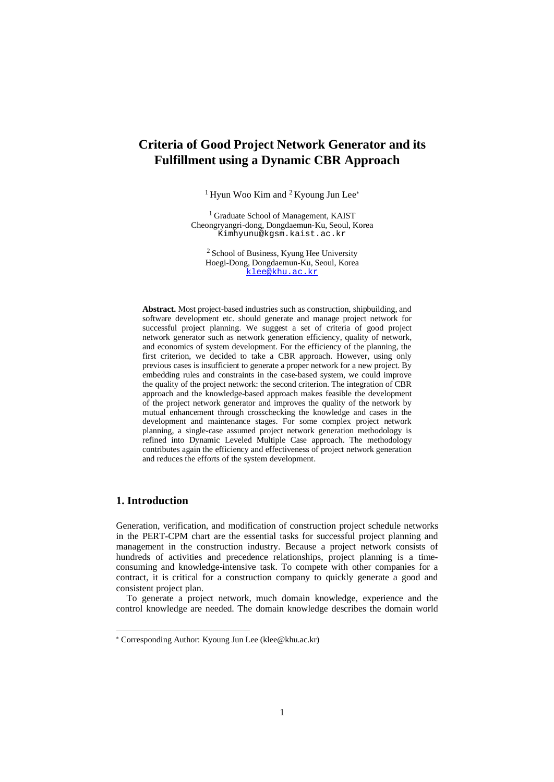# **Criteria of Good Project Network Generator and its Fulfillment using a Dynamic CBR Approach**

<sup>1</sup> Hyun Woo Kim and <sup>2</sup> Kyoung Jun Lee\*

<sup>1</sup> Graduate School of Management, KAIST Cheongryangri-dong, Dongdaemun-Ku, Seoul, Korea Kimhyunu@kgsm.kaist.ac.kr

<sup>2</sup> School of Business, Kyung Hee University Hoegi-Dong, Dongdaemun-Ku, Seoul, Korea [klee@khu.ac.kr](mailto:klee@khu.ac.kr)

**Abstract.** Most project-based industries such as construction, shipbuilding, and software development etc. should generate and manage project network for successful project planning. We suggest a set of criteria of good project network generator such as network generation efficiency, quality of network, and economics of system development. For the efficiency of the planning, the first criterion, we decided to take a CBR approach. However, using only previous cases is insufficient to generate a proper network for a new project. By embedding rules and constraints in the case-based system, we could improve the quality of the project network: the second criterion. The integration of CBR approach and the knowledge-based approach makes feasible the development of the project network generator and improves the quality of the network by mutual enhancement through crosschecking the knowledge and cases in the development and maintenance stages. For some complex project network planning, a single-case assumed project network generation methodology is refined into Dynamic Leveled Multiple Case approach. The methodology contributes again the efficiency and effectiveness of project network generation and reduces the efforts of the system development.

# **1. Introduction**

-

Generation, verification, and modification of construction project schedule networks in the PERT-CPM chart are the essential tasks for successful project planning and management in the construction industry. Because a project network consists of hundreds of activities and precedence relationships, project planning is a timeconsuming and knowledge-intensive task. To compete with other companies for a contract, it is critical for a construction company to quickly generate a good and consistent project plan.

To generate a project network, much domain knowledge, experience and the control knowledge are needed. The domain knowledge describes the domain world

Corresponding Author: Kyoung Jun Lee (klee@khu.ac.kr)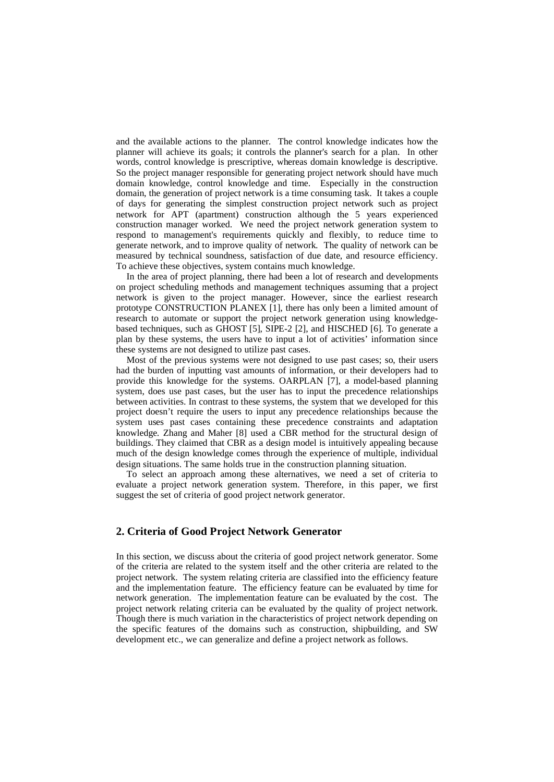and the available actions to the planner. The control knowledge indicates how the planner will achieve its goals; it controls the planner's search for a plan. In other words, control knowledge is prescriptive, whereas domain knowledge is descriptive. So the project manager responsible for generating project network should have much domain knowledge, control knowledge and time. Especially in the construction domain, the generation of project network is a time consuming task. It takes a couple of days for generating the simplest construction project network such as project network for APT (apartment) construction although the 5 years experienced construction manager worked. We need the project network generation system to respond to management's requirements quickly and flexibly, to reduce time to generate network, and to improve quality of network. The quality of network can be measured by technical soundness, satisfaction of due date, and resource efficiency. To achieve these objectives, system contains much knowledge.

In the area of project planning, there had been a lot of research and developments on project scheduling methods and management techniques assuming that a project network is given to the project manager. However, since the earliest research prototype CONSTRUCTION PLANEX [1], there has only been a limited amount of research to automate or support the project network generation using knowledgebased techniques, such as GHOST [5], SIPE-2 [2], and HISCHED [6]. To generate a plan by these systems, the users have to input a lot of activities' information since these systems are not designed to utilize past cases.

Most of the previous systems were not designed to use past cases; so, their users had the burden of inputting vast amounts of information, or their developers had to provide this knowledge for the systems. OARPLAN [7], a model-based planning system, does use past cases, but the user has to input the precedence relationships between activities. In contrast to these systems, the system that we developed for this project doesn't require the users to input any precedence relationships because the system uses past cases containing these precedence constraints and adaptation knowledge. Zhang and Maher [8] used a CBR method for the structural design of buildings. They claimed that CBR as a design model is intuitively appealing because much of the design knowledge comes through the experience of multiple, individual design situations. The same holds true in the construction planning situation.

To select an approach among these alternatives, we need a set of criteria to evaluate a project network generation system. Therefore, in this paper, we first suggest the set of criteria of good project network generator.

# **2. Criteria of Good Project Network Generator**

In this section, we discuss about the criteria of good project network generator. Some of the criteria are related to the system itself and the other criteria are related to the project network. The system relating criteria are classified into the efficiency feature and the implementation feature. The efficiency feature can be evaluated by time for network generation. The implementation feature can be evaluated by the cost. The project network relating criteria can be evaluated by the quality of project network. Though there is much variation in the characteristics of project network depending on the specific features of the domains such as construction, shipbuilding, and SW development etc., we can generalize and define a project network as follows.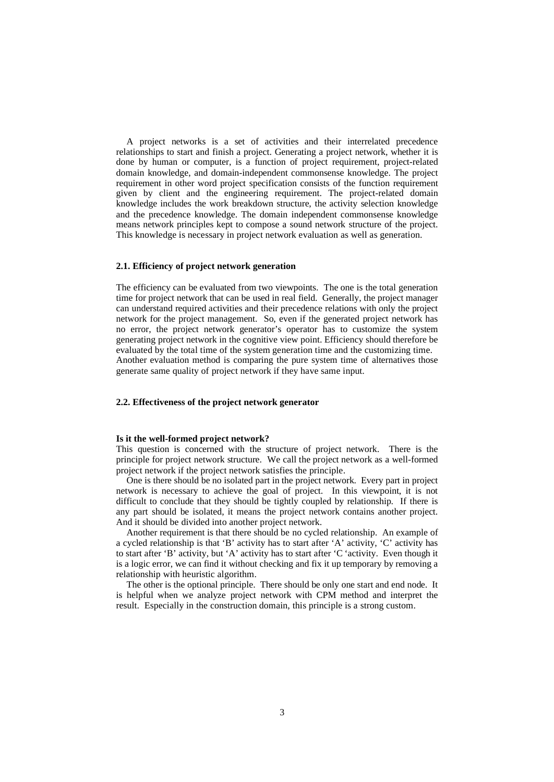A project networks is a set of activities and their interrelated precedence relationships to start and finish a project. Generating a project network, whether it is done by human or computer, is a function of project requirement, project-related domain knowledge, and domain-independent commonsense knowledge. The project requirement in other word project specification consists of the function requirement given by client and the engineering requirement. The project-related domain knowledge includes the work breakdown structure, the activity selection knowledge and the precedence knowledge. The domain independent commonsense knowledge means network principles kept to compose a sound network structure of the project. This knowledge is necessary in project network evaluation as well as generation.

# **2.1. Efficiency of project network generation**

The efficiency can be evaluated from two viewpoints. The one is the total generation time for project network that can be used in real field. Generally, the project manager can understand required activities and their precedence relations with only the project network for the project management. So, even if the generated project network has no error, the project network generator's operator has to customize the system generating project network in the cognitive view point. Efficiency should therefore be evaluated by the total time of the system generation time and the customizing time. Another evaluation method is comparing the pure system time of alternatives those generate same quality of project network if they have same input.

### **2.2. Effectiveness of the project network generator**

#### **Is it the well-formed project network?**

This question is concerned with the structure of project network. There is the principle for project network structure. We call the project network as a well-formed project network if the project network satisfies the principle.

One is there should be no isolated part in the project network. Every part in project network is necessary to achieve the goal of project. In this viewpoint, it is not difficult to conclude that they should be tightly coupled by relationship. If there is any part should be isolated, it means the project network contains another project. And it should be divided into another project network.

Another requirement is that there should be no cycled relationship. An example of a cycled relationship is that 'B' activity has to start after 'A' activity, 'C' activity has to start after 'B' activity, but 'A' activity has to start after 'C 'activity. Even though it is a logic error, we can find it without checking and fix it up temporary by removing a relationship with heuristic algorithm.

The other is the optional principle. There should be only one start and end node. It is helpful when we analyze project network with CPM method and interpret the result. Especially in the construction domain, this principle is a strong custom.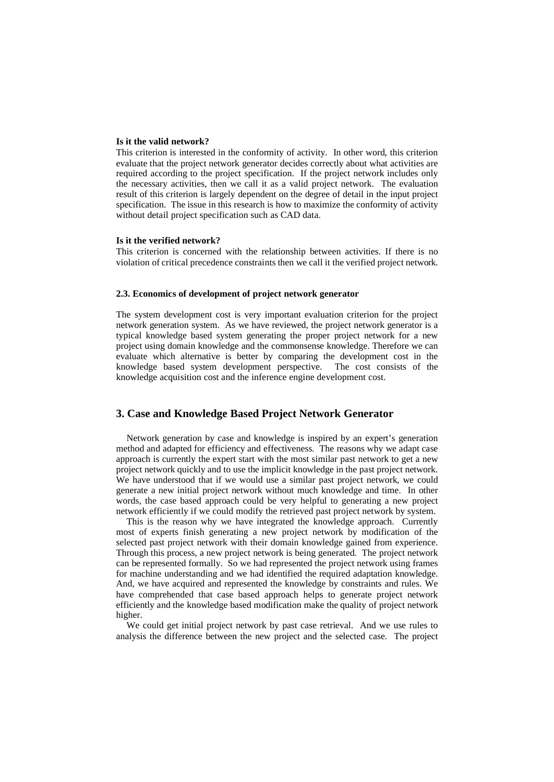## **Is it the valid network?**

This criterion is interested in the conformity of activity. In other word, this criterion evaluate that the project network generator decides correctly about what activities are required according to the project specification. If the project network includes only the necessary activities, then we call it as a valid project network. The evaluation result of this criterion is largely dependent on the degree of detail in the input project specification. The issue in this research is how to maximize the conformity of activity without detail project specification such as CAD data.

# **Is it the verified network?**

This criterion is concerned with the relationship between activities. If there is no violation of critical precedence constraints then we call it the verified project network.

#### **2.3. Economics of development of project network generator**

The system development cost is very important evaluation criterion for the project network generation system. As we have reviewed, the project network generator is a typical knowledge based system generating the proper project network for a new project using domain knowledge and the commonsense knowledge. Therefore we can evaluate which alternative is better by comparing the development cost in the knowledge based system development perspective. The cost consists of the knowledge acquisition cost and the inference engine development cost.

# **3. Case and Knowledge Based Project Network Generator**

Network generation by case and knowledge is inspired by an expert's generation method and adapted for efficiency and effectiveness. The reasons why we adapt case approach is currently the expert start with the most similar past network to get a new project network quickly and to use the implicit knowledge in the past project network. We have understood that if we would use a similar past project network, we could generate a new initial project network without much knowledge and time. In other words, the case based approach could be very helpful to generating a new project network efficiently if we could modify the retrieved past project network by system.

This is the reason why we have integrated the knowledge approach. Currently most of experts finish generating a new project network by modification of the selected past project network with their domain knowledge gained from experience. Through this process, a new project network is being generated. The project network can be represented formally. So we had represented the project network using frames for machine understanding and we had identified the required adaptation knowledge. And, we have acquired and represented the knowledge by constraints and rules. We have comprehended that case based approach helps to generate project network efficiently and the knowledge based modification make the quality of project network higher.

We could get initial project network by past case retrieval. And we use rules to analysis the difference between the new project and the selected case. The project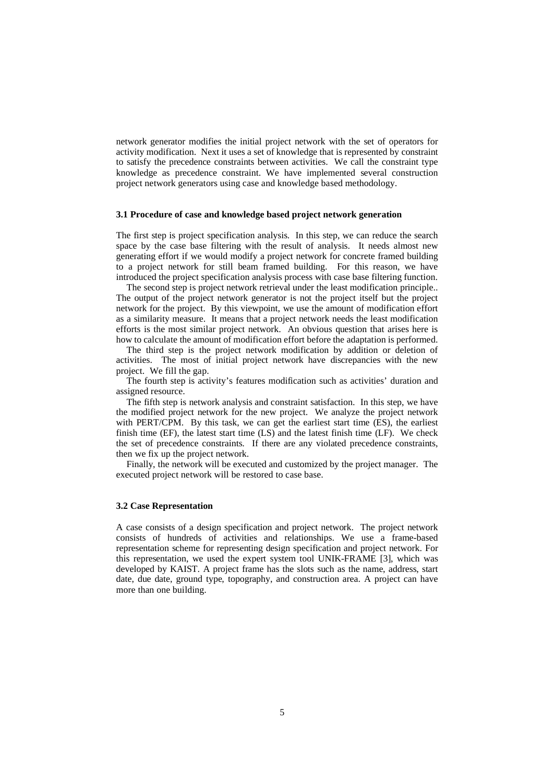network generator modifies the initial project network with the set of operators for activity modification. Next it uses a set of knowledge that is represented by constraint to satisfy the precedence constraints between activities. We call the constraint type knowledge as precedence constraint. We have implemented several construction project network generators using case and knowledge based methodology.

#### **3.1 Procedure of case and knowledge based project network generation**

The first step is project specification analysis. In this step, we can reduce the search space by the case base filtering with the result of analysis. It needs almost new generating effort if we would modify a project network for concrete framed building to a project network for still beam framed building. For this reason, we have introduced the project specification analysis process with case base filtering function.

The second step is project network retrieval under the least modification principle.. The output of the project network generator is not the project itself but the project network for the project. By this viewpoint, we use the amount of modification effort as a similarity measure. It means that a project network needs the least modification efforts is the most similar project network. An obvious question that arises here is how to calculate the amount of modification effort before the adaptation is performed.

The third step is the project network modification by addition or deletion of activities. The most of initial project network have discrepancies with the new project. We fill the gap.

The fourth step is activity's features modification such as activities' duration and assigned resource.

The fifth step is network analysis and constraint satisfaction. In this step, we have the modified project network for the new project. We analyze the project network with PERT/CPM. By this task, we can get the earliest start time (ES), the earliest finish time (EF), the latest start time (LS) and the latest finish time (LF). We check the set of precedence constraints. If there are any violated precedence constraints, then we fix up the project network.

Finally, the network will be executed and customized by the project manager. The executed project network will be restored to case base.

# **3.2 Case Representation**

A case consists of a design specification and project network. The project network consists of hundreds of activities and relationships. We use a frame-based representation scheme for representing design specification and project network. For this representation, we used the expert system tool UNIK-FRAME [3], which was developed by KAIST. A project frame has the slots such as the name, address, start date, due date, ground type, topography, and construction area. A project can have more than one building.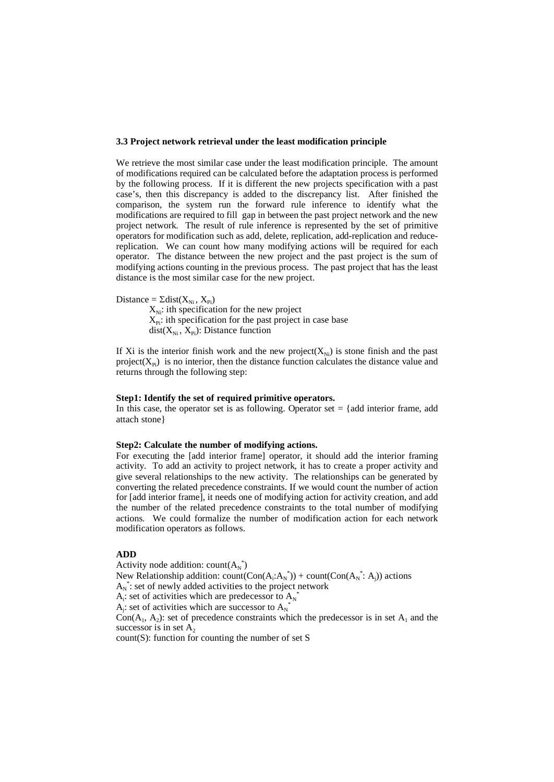#### **3.3 Project network retrieval under the least modification principle**

We retrieve the most similar case under the least modification principle. The amount of modifications required can be calculated before the adaptation process is performed by the following process. If it is different the new projects specification with a past case's, then this discrepancy is added to the discrepancy list. After finished the comparison, the system run the forward rule inference to identify what the modifications are required to fill gap in between the past project network and the new project network. The result of rule inference is represented by the set of primitive operators for modification such as add, delete, replication, add-replication and reducereplication. We can count how many modifying actions will be required for each operator. The distance between the new project and the past project is the sum of modifying actions counting in the previous process. The past project that has the least distance is the most similar case for the new project.

Distance =  $\Sigma dist(X_{Ni}, X_{Pi})$ 

 $X_{Ni}$ : ith specification for the new project  $X_{\text{Pi}}$ : ith specification for the past project in case base dist( $X_{N_i}$ ,  $X_{P_i}$ ): Distance function

If Xi is the interior finish work and the new project( $X_{Ni}$ ) is stone finish and the past project( $X_{\text{Pi}}$ ) is no interior, then the distance function calculates the distance value and returns through the following step:

#### **Step1: Identify the set of required primitive operators.**

In this case, the operator set is as following. Operator set  $= \{$  add interior frame, add attach stone}

#### **Step2: Calculate the number of modifying actions.**

For executing the [add interior frame] operator, it should add the interior framing activity. To add an activity to project network, it has to create a proper activity and give several relationships to the new activity. The relationships can be generated by converting the related precedence constraints. If we would count the number of action for [add interior frame], it needs one of modifying action for activity creation, and add the number of the related precedence constraints to the total number of modifying actions. We could formalize the number of modification action for each network modification operators as follows.

#### **ADD**

Activity node addition: count $(A_N^*)$ New Relationship addition: count( $Con(A_i: A_N^*)$ ) + count( $Con(A_N^* : A_j)$ ) actions  $A_N^*$ : set of newly added activities to the project network  $A_i$ : set of activities which are predecessor to  $A_N^*$  $A_i$ : set of activities which are successor to  $A_N^*$  $Con(A_1, A_2)$ : set of precedence constraints which the predecessor is in set  $A_1$  and the successor is in set  $A_2$  $count(S)$ : function for counting the number of set S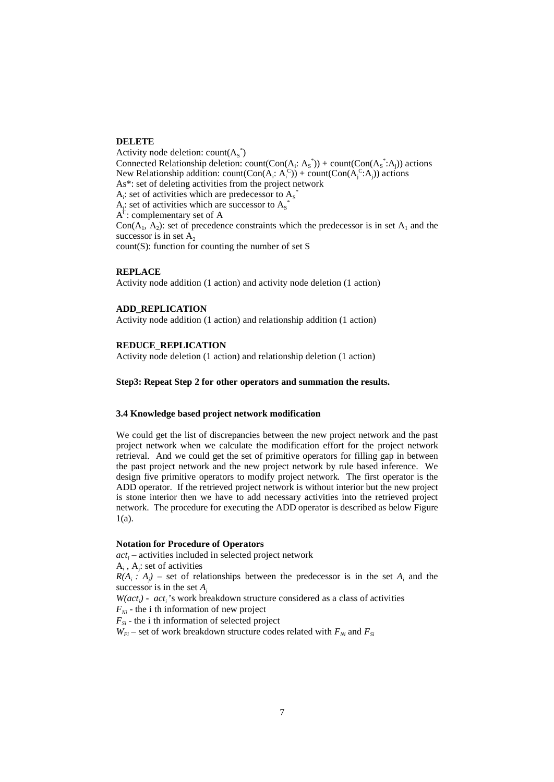### **DELETE**

Activity node deletion:  $count(A_s^*)$ Connected Relationship deletion: count( $Con(A_i; A_s^*)$ ) + count( $Con(A_s^* : A_j)$ ) actions New Relationship addition: count( $Con(A_i: A_i^C)$ ) + count( $Con(A_i^C:A_i)$ ) actions As\*: set of deleting activities from the project network  $A_i$ : set of activities which are predecessor to  $A_s^*$  $A_j$ : set of activities which are successor to  $A_s^*$  $A^c$ : complementary set of A Con( $A_1$ ,  $A_2$ ): set of precedence constraints which the predecessor is in set  $A_1$  and the successor is in set  $A_2$ count(S): function for counting the number of set S

#### **REPLACE**

Activity node addition (1 action) and activity node deletion (1 action)

#### **ADD\_REPLICATION**

Activity node addition (1 action) and relationship addition (1 action)

#### **REDUCE\_REPLICATION**

Activity node deletion (1 action) and relationship deletion (1 action)

#### **Step3: Repeat Step 2 for other operators and summation the results.**

#### **3.4 Knowledge based project network modification**

We could get the list of discrepancies between the new project network and the past project network when we calculate the modification effort for the project network retrieval. And we could get the set of primitive operators for filling gap in between the past project network and the new project network by rule based inference. We design five primitive operators to modify project network. The first operator is the ADD operator. If the retrieved project network is without interior but the new project is stone interior then we have to add necessary activities into the retrieved project network. The procedure for executing the ADD operator is described as below Figure 1(a).

#### **Notation for Procedure of Operators**

 $act<sub>i</sub>$  – activities included in selected project network

 $A_i$ ,  $A_j$ : set of activities

 $R(A_i: A_j)$  – set of relationships between the predecessor is in the set  $A_i$  and the successor is in the set *Aj*

 $W(act<sub>i</sub>)$  -  $act<sub>i</sub>$ 's work breakdown structure considered as a class of activities

 $F_{Ni}$  - the i th information of new project

 $F_{Si}$  - the i th information of selected project

 $W_{Fi}$  – set of work breakdown structure codes related with  $F_{Ni}$  and  $F_{Si}$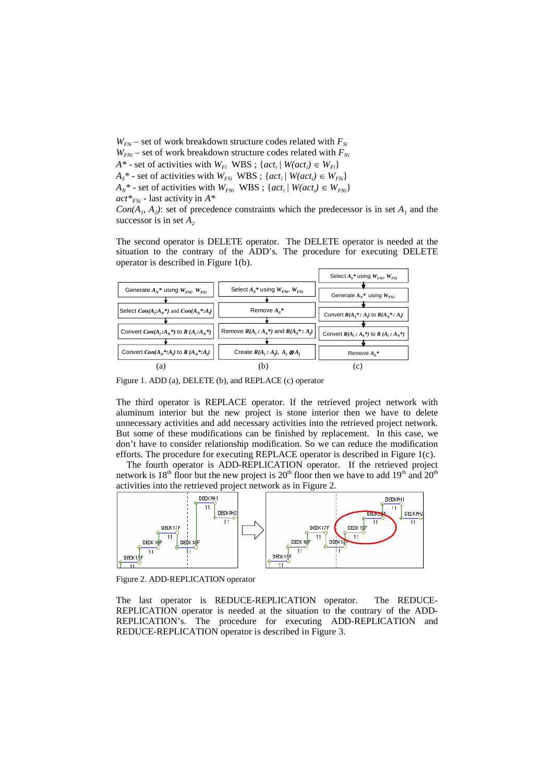$W_{FSi}$  – set of work breakdown structure codes related with  $F_{Si}$  $W_{FNi}$  – set of work breakdown structure codes related with  $F_{Ni}$  $A^*$  - set of activities with  $W_{Fi}$  WBS; { $act_i | W(act_i) \in W_{Fi}$ }  $A_S^*$  - set of activities with  $W_{FSi}$  WBS; { $act_i | W(act_i) \in W_{FSi}$ }  $A_N^*$  - set of activities with  $W_{FN_i}$  WBS;  $\{act_i | W(act_i) \in W_{FN_i}\}$ *act\*FSi* - last activity in *A\**

 $Con(A<sub>1</sub>, A<sub>2</sub>)$ : set of precedence constraints which the predecessor is in set  $A<sub>1</sub>$  and the successor is in set  $A_2$ 

The second operator is DELETE operator. The DELETE operator is needed at the situation to the contrary of the ADD's. The procedure for executing DELETE operator is described in Figure 1(b).

|                                                    |                                            | Select $A_s^*$ using $W_{FNi}$ , $W_{FSi}$ |  |
|----------------------------------------------------|--------------------------------------------|--------------------------------------------|--|
| Generate $A_{N^*}$ using $W_{F N_i}$ , $W_{F S_i}$ | Select $A_s^*$ using $W_{FNi}$ , $W_{FSi}$ |                                            |  |
|                                                    |                                            | Generate $A_{N^*}$ using $W_{FNi}$         |  |
|                                                    |                                            |                                            |  |
| Select $Con(A_i:A_N^*)$ and $Con(A_N^*:A_i)$       | Remove $A_{s}^*$                           | Convert $R(A_s^*: A_i)$ to $R(A_N^*: A_i)$ |  |
|                                                    |                                            |                                            |  |
| Convert $Con(A_i:A_{N^*})$ to $R(A_i:A_{N^*})$     | Remove $R(A_i: A_s^*)$ and $R(A_s^*: A_i)$ | Convert $R(A_i: A_S^*)$ to $R(A_i: A_N^*)$ |  |
|                                                    |                                            |                                            |  |
| Convert $Con(A_{N}^*A_{i})$ to $R(A_{N}^*A_{i})$   | Create $R(A_i : A_i)$ , $A_i \otimes A_i$  | Remove $A_s^*$                             |  |
| [a                                                 |                                            | $\lfloor c \rfloor$                        |  |

Figure 1. ADD (a), DELETE (b), and REPLACE (c) operator

The third operator is REPLACE operator. If the retrieved project network with aluminum interior but the new project is stone interior then we have to delete unnecessary activities and add necessary activities into the retrieved project network. But some of these modifications can be finished by replacement. In this case, we don't have to consider relationship modification. So we can reduce the modification efforts. The procedure for executing REPLACE operator is described in Figure 1(c).

The fourth operator is ADD-REPLICATION operator. If the retrieved project network is 18<sup>th</sup> floor but the new project is  $20<sup>th</sup>$  floor then we have to add 19<sup>th</sup> and  $20<sup>th</sup>$ activities into the retrieved project network as in Figure 2.



Figure 2. ADD-REPLICATION operator

The last operator is REDUCE-REPLICATION operator. The REDUCE-REPLICATION operator is needed at the situation to the contrary of the ADD-REPLICATION's. The procedure for executing ADD-REPLICATION and REDUCE-REPLICATION operator is described in Figure 3.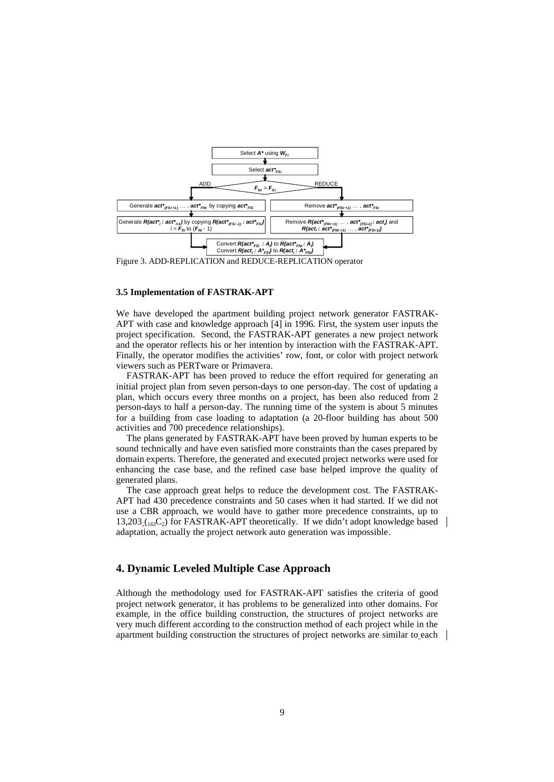

Figure 3. ADD-REPLICATION and REDUCE-REPLICATION operator

#### **3.5 Implementation of FASTRAK-APT**

We have developed the apartment building project network generator FASTRAK-APT with case and knowledge approach [4] in 1996. First, the system user inputs the project specification. Second, the FASTRAK-APT generates a new project network and the operator reflects his or her intention by interaction with the FASTRAK-APT. Finally, the operator modifies the activities' row, font, or color with project network viewers such as PERTware or Primavera.

FASTRAK-APT has been proved to reduce the effort required for generating an initial project plan from seven person-days to one person-day. The cost of updating a plan, which occurs every three months on a project, has been also reduced from 2 person-days to half a person-day. The running time of the system is about 5 minutes for a building from case loading to adaptation (a 20-floor building has about 500 activities and 700 precedence relationships).

The plans generated by FASTRAK-APT have been proved by human experts to be sound technically and have even satisfied more constraints than the cases prepared by domain experts. Therefore, the generated and executed project networks were used for enhancing the case base, and the refined case base helped improve the quality of generated plans.

The case approach great helps to reduce the development cost. The FASTRAK-APT had 430 precedence constraints and 50 cases when it had started. If we did not use a CBR approach, we would have to gather more precedence constraints, up to  $13,203 \leq (163)$  for FASTRAK-APT theoretically. If we didn't adopt knowledge based adaptation, actually the project network auto generation was impossible.

# **4. Dynamic Leveled Multiple Case Approach**

Although the methodology used for FASTRAK-APT satisfies the criteria of good project network generator, it has problems to be generalized into other domains. For example, in the office building construction, the structures of project networks are very much different according to the construction method of each project while in the apartment building construction the structures of project networks are similar to each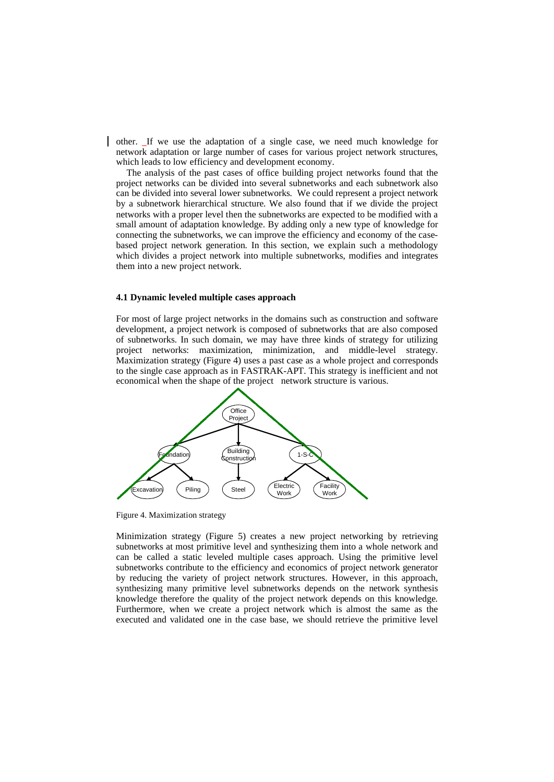other. If we use the adaptation of a single case, we need much knowledge for network adaptation or large number of cases for various project network structures, which leads to low efficiency and development economy.

The analysis of the past cases of office building project networks found that the project networks can be divided into several subnetworks and each subnetwork also can be divided into several lower subnetworks. We could represent a project network by a subnetwork hierarchical structure. We also found that if we divide the project networks with a proper level then the subnetworks are expected to be modified with a small amount of adaptation knowledge. By adding only a new type of knowledge for connecting the subnetworks, we can improve the efficiency and economy of the casebased project network generation. In this section, we explain such a methodology which divides a project network into multiple subnetworks, modifies and integrates them into a new project network.

# **4.1 Dynamic leveled multiple cases approach**

For most of large project networks in the domains such as construction and software development, a project network is composed of subnetworks that are also composed of subnetworks. In such domain, we may have three kinds of strategy for utilizing project networks: maximization, minimization, and middle-level strategy. Maximization strategy (Figure 4) uses a past case as a whole project and corresponds to the single case approach as in FASTRAK-APT. This strategy is inefficient and not economical when the shape of the project network structure is various.



Figure 4. Maximization strategy

Minimization strategy (Figure 5) creates a new project networking by retrieving subnetworks at most primitive level and synthesizing them into a whole network and can be called a static leveled multiple cases approach. Using the primitive level subnetworks contribute to the efficiency and economics of project network generator by reducing the variety of project network structures. However, in this approach, synthesizing many primitive level subnetworks depends on the network synthesis knowledge therefore the quality of the project network depends on this knowledge. Furthermore, when we create a project network which is almost the same as the executed and validated one in the case base, we should retrieve the primitive level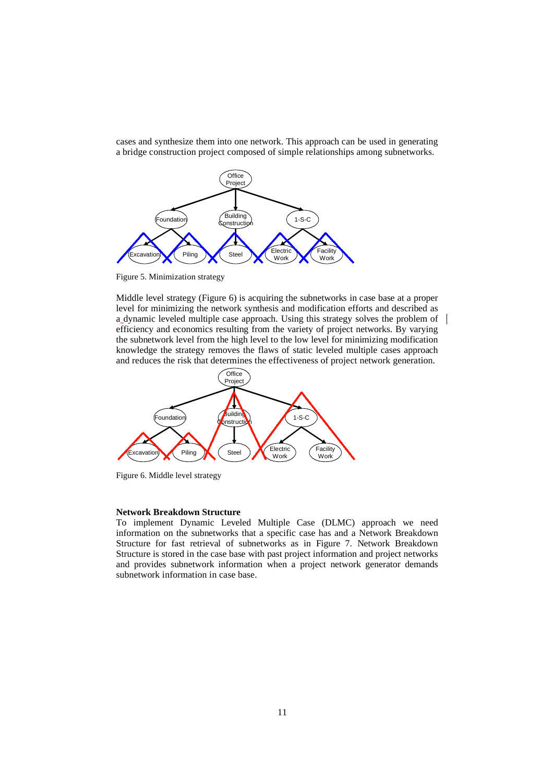



Figure 5. Minimization strategy

Middle level strategy (Figure 6) is acquiring the subnetworks in case base at a proper level for minimizing the network synthesis and modification efforts and described as a dynamic leveled multiple case approach. Using this strategy solves the problem of efficiency and economics resulting from the variety of project networks. By varying the subnetwork level from the high level to the low level for minimizing modification knowledge the strategy removes the flaws of static leveled multiple cases approach and reduces the risk that determines the effectiveness of project network generation.



Figure 6. Middle level strategy

# **Network Breakdown Structure**

To implement Dynamic Leveled Multiple Case (DLMC) approach we need information on the subnetworks that a specific case has and a Network Breakdown Structure for fast retrieval of subnetworks as in Figure 7. Network Breakdown Structure is stored in the case base with past project information and project networks and provides subnetwork information when a project network generator demands subnetwork information in case base.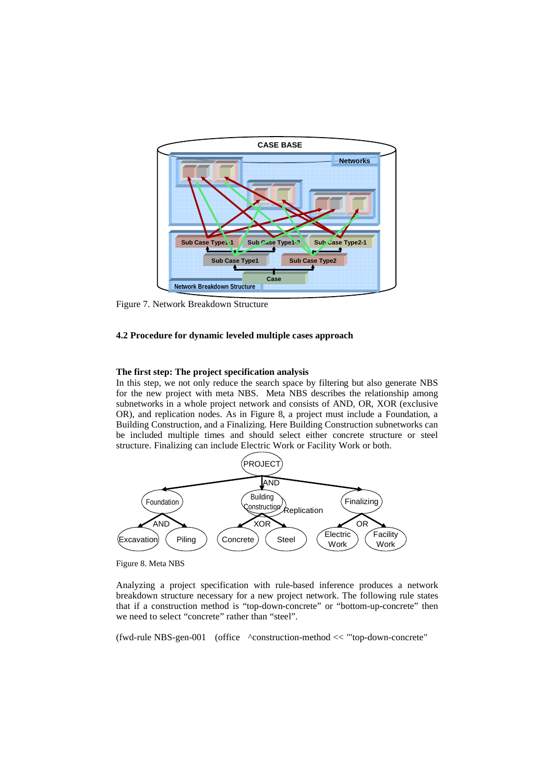

Figure 7. Network Breakdown Structure

# **4.2 Procedure for dynamic leveled multiple cases approach**

# **The first step: The project specification analysis**

In this step, we not only reduce the search space by filtering but also generate NBS for the new project with meta NBS. Meta NBS describes the relationship among subnetworks in a whole project network and consists of AND, OR, XOR (exclusive OR), and replication nodes. As in Figure 8, a project must include a Foundation, a Building Construction, and a Finalizing. Here Building Construction subnetworks can be included multiple times and should select either concrete structure or steel structure. Finalizing can include Electric Work or Facility Work or both.



Figure 8. Meta NBS

Analyzing a project specification with rule-based inference produces a network breakdown structure necessary for a new project network. The following rule states that if a construction method is "top-down-concrete" or "bottom-up-concrete" then we need to select "concrete" rather than "steel".

(fwd-rule NBS-gen-001 (office ^construction-method << '"top-down-concrete"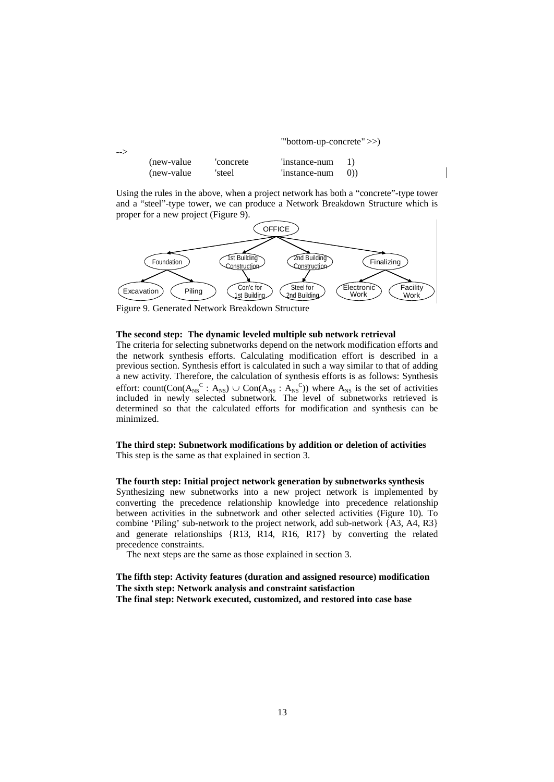'"bottom-up-concrete" >>)

| (new-value) | 'concrete | 'instance-num |     |
|-------------|-----------|---------------|-----|
| (new-value) | 'steel    | 'instance-num | (0) |

Using the rules in the above, when a project network has both a "concrete"-type tower and a "steel"-type tower, we can produce a Network Breakdown Structure which is proper for a new project (Figure 9).



Figure 9. Generated Network Breakdown Structure

-->

# **The second step: The dynamic leveled multiple sub network retrieval**

The criteria for selecting subnetworks depend on the network modification efforts and the network synthesis efforts. Calculating modification effort is described in a previous section. Synthesis effort is calculated in such a way similar to that of adding a new activity. Therefore, the calculation of synthesis efforts is as follows: Synthesis effort: count( $Con(A_{NS}^C : A_{NS}) \cup Con(A_{NS} : A_{NS}^C)$ ) where  $A_{NS}$  is the set of activities included in newly selected subnetwork. The level of subnetworks retrieved is determined so that the calculated efforts for modification and synthesis can be minimized.

**The third step: Subnetwork modifications by addition or deletion of activities** This step is the same as that explained in section 3.

### **The fourth step: Initial project network generation by subnetworks synthesis**

Synthesizing new subnetworks into a new project network is implemented by converting the precedence relationship knowledge into precedence relationship between activities in the subnetwork and other selected activities (Figure 10). To combine 'Piling' sub-network to the project network, add sub-network {A3, A4, R3} and generate relationships  $\{R13, R14, R16, R17\}$  by converting the related precedence constraints.

The next steps are the same as those explained in section 3.

**The fifth step: Activity features (duration and assigned resource) modification The sixth step: Network analysis and constraint satisfaction The final step: Network executed, customized, and restored into case base**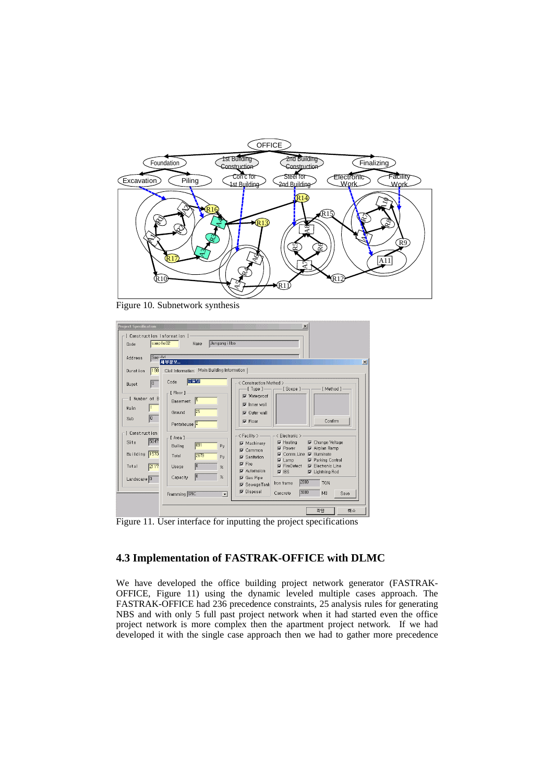

Figure 10. Subnetwork synthesis

| <b>Project Specification</b><br>$\vert x \vert$                                                                                                                                                             |                                                                                                                                                                                                                                                                                                                                                                                                                                                                                                                                                               |  |  |
|-------------------------------------------------------------------------------------------------------------------------------------------------------------------------------------------------------------|---------------------------------------------------------------------------------------------------------------------------------------------------------------------------------------------------------------------------------------------------------------------------------------------------------------------------------------------------------------------------------------------------------------------------------------------------------------------------------------------------------------------------------------------------------------|--|--|
| [ Construction Information ]<br>Jungang i Ibo<br>sample02<br>Name<br>Code                                                                                                                                   |                                                                                                                                                                                                                                                                                                                                                                                                                                                                                                                                                               |  |  |
| Senuld<br>Address<br>세부정보<br>198<br>Civil Information Main Building Information<br><b>Duration</b>                                                                                                          | $\vert x \vert$                                                                                                                                                                                                                                                                                                                                                                                                                                                                                                                                               |  |  |
| 주발망<br>Code<br>lo<br><b>Buset</b><br>[ Floor ]<br>Mumber of B<br>15<br>Basement<br>Main<br>25<br>Ground<br>о<br>Sub<br>Pentahouse <sup>2</sup>                                                              | < Construction Method ><br>[ Method ]<br>[ Type ]<br>[ Scope ]<br>Waterproof<br><b>V</b> Inner wall<br><b>V</b> Outer wall<br>Confirm<br><b>⊽</b> Floor                                                                                                                                                                                                                                                                                                                                                                                                       |  |  |
| <b>Construction</b><br>[ Area ]<br>5047<br>Site<br>891<br>Pv<br>Builing<br>1573<br>Building<br>2679<br>Total<br>Pv<br>2117<br>10<br>Total<br>Usage<br>$\%$<br>10<br>%<br>Capacity<br>Landscape <sup>O</sup> | <facility><br/>&lt; Electronic &gt;<br/><math>\nabla</math> Heating<br/>Change Voltage<br/>Machinery<br/><b>⊽</b> Power<br/>Airplan Ramp<br/><b>▽</b> Common<br/><b>IV</b> Comm.Line <b>IV</b> Illuminate<br/><b>▽</b> Sanitation<br/><b>▽</b> Parking Control<br/><math>\nabla</math> Lamp<br/><math>\nabla</math> Fire<br/><b>▽</b> FireDetect<br/><b>▽</b> Electronic Line<br/>Automaion<br/><math>\nabla</math> IBS<br/><b>▽</b> Lightning Rod<br/><math>\nabla</math> Gas Pipe<br/>2000<br/><b>TON</b><br/>Iron frame<br/><b>▽</b> SewageTank</facility> |  |  |
| Framming SRC<br>$\overline{\phantom{a}}$                                                                                                                                                                    | <b>▽</b> Disposal<br>3000<br>M3<br>Concrete<br>Save<br>화인<br>취소                                                                                                                                                                                                                                                                                                                                                                                                                                                                                               |  |  |

Figure 11. User interface for inputting the project specifications

# **4.3 Implementation of FASTRAK-OFFICE with DLMC**

We have developed the office building project network generator (FASTRAK-OFFICE, Figure 11) using the dynamic leveled multiple cases approach. The FASTRAK-OFFICE had 236 precedence constraints, 25 analysis rules for generating NBS and with only 5 full past project network when it had started even the office project network is more complex then the apartment project network. If we had developed it with the single case approach then we had to gather more precedence